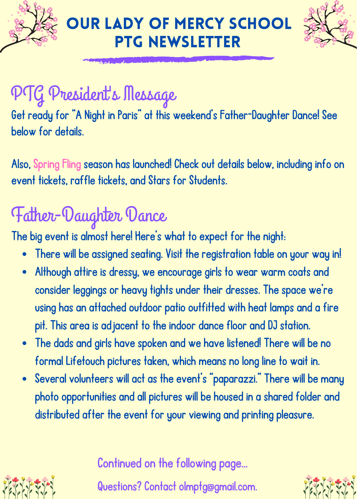



## PTG President' s Message

Get ready for "A Night in Paris" at this weekend's Father-Daughter Dance! See below for details.

Also, [Spring](http://www.olmspringfling.com/) Fling season has launched! Check out details below, including info on event tickets, raffle tickets, and Stars for Students.

## Father-Daughter Dance

The big event is almost here! Here's what to expect for the night:

- There will be assigned seating. Visit the registration table on your way in!
- Although attire is dressy, we encourage girls to wear warm coats and consider leggings or heavy tights under their dresses. The space we're using has an attached outdoor patio outfitted with heat lamps and a fire pit. This area is adjacent to the indoor dance floor and DJ station.
- The dads and girls have spoken and we have listened! There will be no formal Lifetouch pictures taken, which means no long line to wait in.
- Several volunteers will act as the event's "paparazzi." There will be many photo opportunities and all pictures will be housed in a shared folder and distributed after the event for your viewing and printing pleasure.

Continued on the following page...

Questions? Contact olmptg@gmail.com.